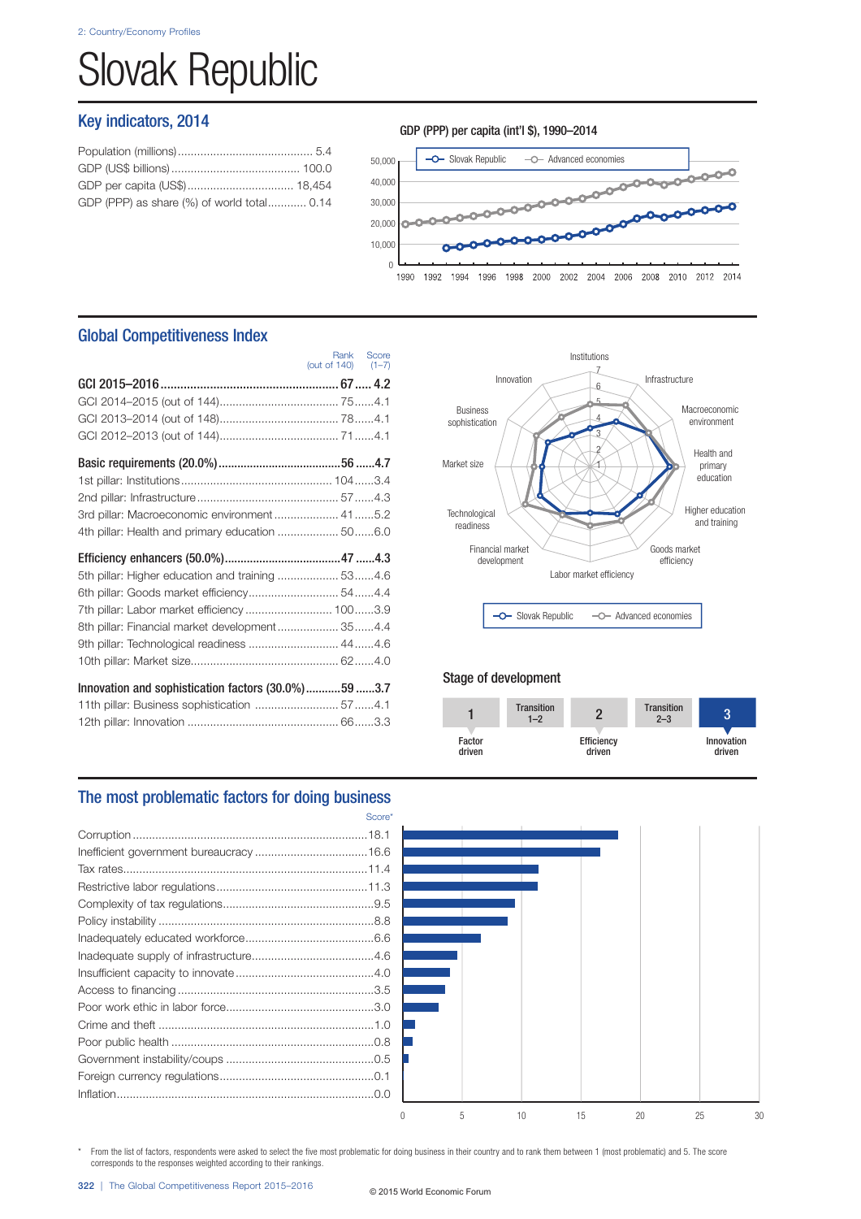# Slovak Republic

## Key indicators, 2014

| GDP (PPP) as share (%) of world total 0.14 |  |
|--------------------------------------------|--|
|                                            |  |

### GDP (PPP) per capita (int'l \$), 1990–2014



## Global Competitiveness Index

|                                                     | (out of $140$ ) $(1-7)$ | Rank Score |
|-----------------------------------------------------|-------------------------|------------|
|                                                     |                         |            |
|                                                     |                         |            |
|                                                     |                         |            |
|                                                     |                         |            |
|                                                     |                         |            |
|                                                     |                         |            |
|                                                     |                         |            |
| 3rd pillar: Macroeconomic environment 415.2         |                         |            |
| 4th pillar: Health and primary education  506.0     |                         |            |
|                                                     |                         |            |
| 5th pillar: Higher education and training  534.6    |                         |            |
| 6th pillar: Goods market efficiency 54 4.4          |                         |            |
| 7th pillar: Labor market efficiency  1003.9         |                         |            |
| 8th pillar: Financial market development 354.4      |                         |            |
| 9th pillar: Technological readiness  444.6          |                         |            |
|                                                     |                         |            |
| Innovation and sophistication factors (30.0%)59 3.7 |                         |            |
| 11th pillar: Business sophistication  574.1         |                         |            |
|                                                     |                         |            |



## Stage of development



## The most problematic factors for doing business

| Score* |
|--------|
|        |
|        |
|        |
|        |
|        |
|        |
|        |
|        |
|        |
|        |
|        |
|        |
|        |
|        |
|        |
|        |
|        |



\* From the list of factors, respondents were asked to select the five most problematic for doing business in their country and to rank them between 1 (most problematic) and 5. The score corresponds to the responses weighted according to their rankings.